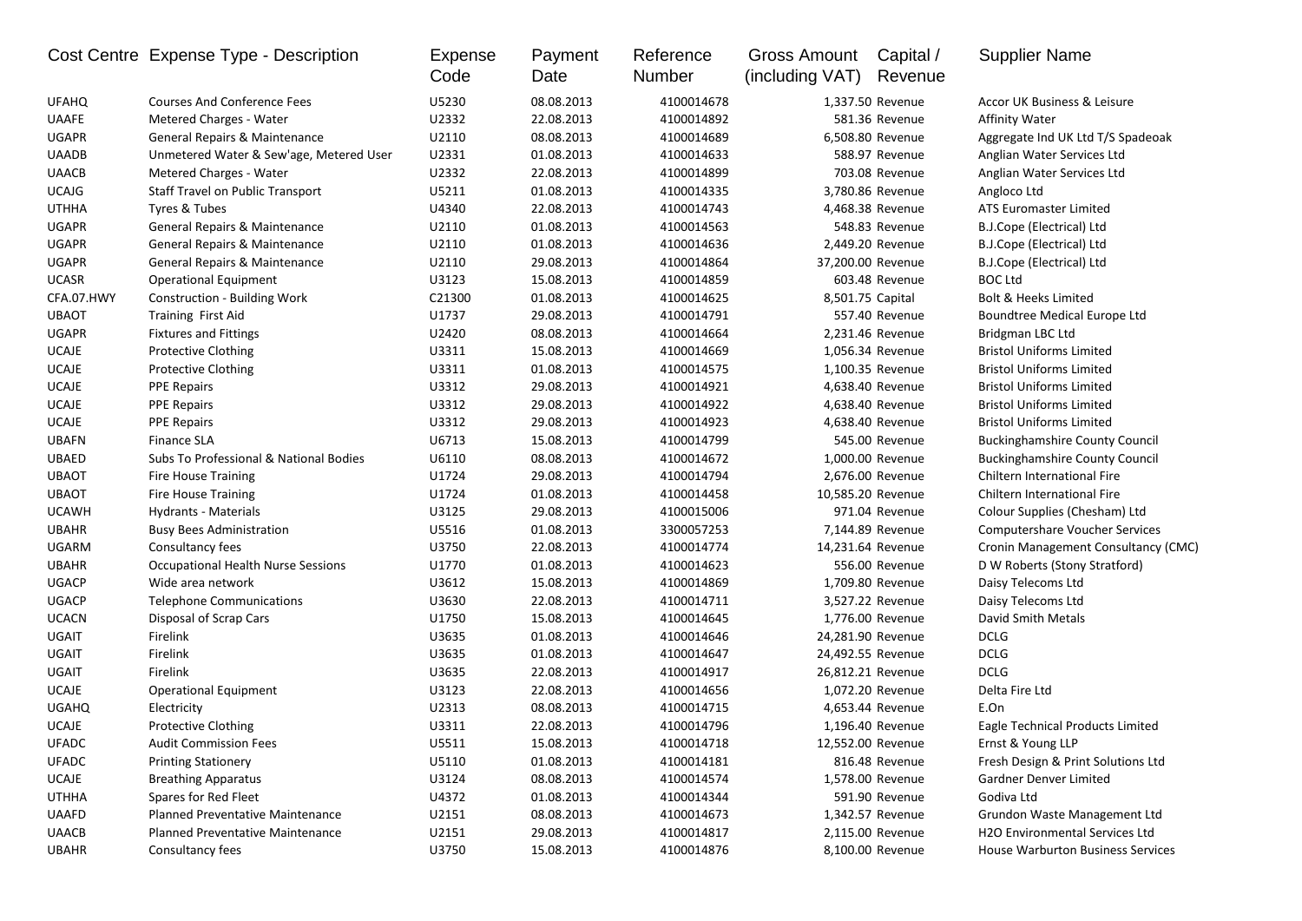|                       | Cost Centre Expense Type - Description             | <b>Expense</b><br>Code | Payment<br>Date          | Reference<br>Number | Gross Amount<br>(including VAT) | Capital /<br>Revenue | <b>Supplier Name</b>                  |
|-----------------------|----------------------------------------------------|------------------------|--------------------------|---------------------|---------------------------------|----------------------|---------------------------------------|
| <b>UFAHQ</b>          | <b>Courses And Conference Fees</b>                 | U5230                  | 08.08.2013               | 4100014678          |                                 | 1,337.50 Revenue     | Accor UK Business & Leisure           |
| <b>UAAFE</b>          | <b>Metered Charges - Water</b>                     | U2332                  | 22.08.2013               | 4100014892          |                                 | 581.36 Revenue       | Affinity Water                        |
| <b>UGAPR</b>          | General Repairs & Maintenance                      | U2110                  | 08.08.2013               | 4100014689          |                                 | 6,508.80 Revenue     | Aggregate Ind UK Ltd T/S Spadeoak     |
| <b>UAADB</b>          | Unmetered Water & Sew'age, Metered User            | U2331                  | 01.08.2013               | 4100014633          |                                 | 588.97 Revenue       | Anglian Water Services Ltd            |
| <b>UAACB</b>          | Metered Charges - Water                            | U2332                  | 22.08.2013               | 4100014899          |                                 | 703.08 Revenue       | Anglian Water Services Ltd            |
| <b>UCAJG</b>          | Staff Travel on Public Transport                   | U5211                  | 01.08.2013               | 4100014335          |                                 | 3,780.86 Revenue     | Angloco Ltd                           |
| <b>UTHHA</b>          | Tyres & Tubes                                      | U4340                  | 22.08.2013               | 4100014743          |                                 | 4,468.38 Revenue     | <b>ATS Euromaster Limited</b>         |
| <b>UGAPR</b>          | General Repairs & Maintenance                      | U2110                  | 01.08.2013               | 4100014563          |                                 | 548.83 Revenue       | B.J.Cope (Electrical) Ltd             |
| <b>UGAPR</b>          | <b>General Repairs &amp; Maintenance</b>           | U2110                  | 01.08.2013               | 4100014636          |                                 | 2,449.20 Revenue     | B.J.Cope (Electrical) Ltd             |
| <b>UGAPR</b>          | General Repairs & Maintenance                      | U2110                  | 29.08.2013               | 4100014864          |                                 | 37,200.00 Revenue    | B.J.Cope (Electrical) Ltd             |
| <b>UCASR</b>          | Operational Equipment                              | U3123                  | 15.08.2013               | 4100014859          |                                 | 603.48 Revenue       | <b>BOC Ltd</b>                        |
| CFA.07.HWY            | <b>Construction - Building Work</b>                | C21300                 | 01.08.2013               | 4100014625          |                                 | 8,501.75 Capital     | <b>Bolt &amp; Heeks Limited</b>       |
| <b>UBAOT</b>          | <b>Training First Aid</b>                          | U1737                  | 29.08.2013               | 4100014791          |                                 | 557.40 Revenue       | Boundtree Medical Europe Ltd          |
| <b>UGAPR</b>          | <b>Fixtures and Fittings</b>                       | U2420                  | 08.08.2013               | 4100014664          |                                 | 2,231.46 Revenue     | Bridgman LBC Ltd                      |
| <b>UCAJE</b>          | <b>Protective Clothing</b>                         | U3311                  | 15.08.2013               | 4100014669          |                                 | 1,056.34 Revenue     | <b>Bristol Uniforms Limited</b>       |
| <b>UCAJE</b>          | <b>Protective Clothing</b>                         | U3311                  | 01.08.2013               | 4100014575          |                                 | 1,100.35 Revenue     | <b>Bristol Uniforms Limited</b>       |
| <b>UCAJE</b>          | <b>PPE Repairs</b>                                 | U3312                  | 29.08.2013               | 4100014921          |                                 | 4,638.40 Revenue     | <b>Bristol Uniforms Limited</b>       |
| <b>UCAJE</b>          | <b>PPE Repairs</b>                                 | U3312                  | 29.08.2013               | 4100014922          |                                 | 4,638.40 Revenue     | <b>Bristol Uniforms Limited</b>       |
| <b>UCAJE</b>          | <b>PPE Repairs</b>                                 | U3312                  | 29.08.2013               | 4100014923          |                                 | 4,638.40 Revenue     | <b>Bristol Uniforms Limited</b>       |
| <b>UBAFN</b>          | <b>Finance SLA</b>                                 | U6713                  | 15.08.2013               | 4100014799          |                                 | 545.00 Revenue       | <b>Buckinghamshire County Council</b> |
| <b>UBAED</b>          | Subs To Professional & National Bodies             | U6110                  | 08.08.2013               | 4100014672          |                                 | 1,000.00 Revenue     | <b>Buckinghamshire County Council</b> |
| <b>UBAOT</b>          | <b>Fire House Training</b>                         | U1724                  | 29.08.2013               | 4100014794          |                                 | 2,676.00 Revenue     | Chiltern International Fire           |
| <b>UBAOT</b>          | <b>Fire House Training</b>                         | U1724                  | 01.08.2013               | 4100014458          |                                 | 10,585.20 Revenue    | Chiltern International Fire           |
| <b>UCAWH</b>          | Hydrants - Materials                               | U3125                  | 29.08.2013               | 4100015006          |                                 | 971.04 Revenue       | Colour Supplies (Chesham) Ltd         |
| <b>UBAHR</b>          | <b>Busy Bees Administration</b>                    | U5516                  | 01.08.2013               | 3300057253          |                                 | 7,144.89 Revenue     | <b>Computershare Voucher Services</b> |
| UGARM                 | Consultancy fees                                   | U3750                  | 22.08.2013               | 4100014774          |                                 | 14,231.64 Revenue    | Cronin Management Consultancy (CMC)   |
| <b>UBAHR</b>          | <b>Occupational Health Nurse Sessions</b>          | U1770                  | 01.08.2013               | 4100014623          |                                 | 556.00 Revenue       | D W Roberts (Stony Stratford)         |
| <b>UGACP</b>          | Wide area network                                  | U3612                  | 15.08.2013               | 4100014869          |                                 | 1,709.80 Revenue     | Daisy Telecoms Ltd                    |
| <b>UGACP</b>          | <b>Telephone Communications</b>                    | U3630                  | 22.08.2013               | 4100014711          |                                 | 3,527.22 Revenue     | Daisy Telecoms Ltd                    |
| <b>UCACN</b>          | Disposal of Scrap Cars                             | U1750                  | 15.08.2013               | 4100014645          |                                 | 1,776.00 Revenue     | David Smith Metals                    |
| <b>UGAIT</b>          | Firelink                                           | U3635                  | 01.08.2013               | 4100014646          |                                 | 24,281.90 Revenue    | <b>DCLG</b>                           |
| UGAIT                 | Firelink                                           | U3635                  | 01.08.2013               | 4100014647          |                                 | 24,492.55 Revenue    | <b>DCLG</b>                           |
| UGAIT                 | Firelink                                           | U3635                  | 22.08.2013               | 4100014917          |                                 | 26,812.21 Revenue    | <b>DCLG</b>                           |
| <b>UCAJE</b>          | <b>Operational Equipment</b>                       | U3123                  | 22.08.2013               | 4100014656          |                                 | 1,072.20 Revenue     | Delta Fire Ltd                        |
| <b>UGAHQ</b>          | Electricity                                        | U2313                  | 08.08.2013               | 4100014715          |                                 | 4,653.44 Revenue     | E.On                                  |
| <b>UCAJE</b>          | <b>Protective Clothing</b>                         | U3311                  | 22.08.2013               | 4100014796          |                                 | 1,196.40 Revenue     | Eagle Technical Products Limited      |
| <b>UFADC</b>          | <b>Audit Commission Fees</b>                       | U5511                  | 15.08.2013               | 4100014718          |                                 | 12,552.00 Revenue    | Ernst & Young LLP                     |
| <b>UFADC</b>          | <b>Printing Stationery</b>                         | U5110                  | 01.08.2013               | 4100014181          |                                 | 816.48 Revenue       | Fresh Design & Print Solutions Ltd    |
|                       |                                                    |                        |                          | 4100014574          |                                 | 1,578.00 Revenue     | Gardner Denver Limited                |
| UCAJE<br><b>UTHHA</b> | <b>Breathing Apparatus</b><br>Spares for Red Fleet | U3124<br>U4372         | 08.08.2013<br>01.08.2013 |                     |                                 | 591.90 Revenue       | Godiva Ltd                            |
|                       |                                                    |                        |                          | 4100014344          |                                 |                      |                                       |
| <b>UAAFD</b>          | Planned Preventative Maintenance                   | U2151                  | 08.08.2013               | 4100014673          |                                 | 1,342.57 Revenue     | Grundon Waste Management Ltd          |
| <b>UAACB</b>          | Planned Preventative Maintenance                   | U2151                  | 29.08.2013               | 4100014817          |                                 | 2,115.00 Revenue     | H2O Environmental Services Ltd        |
| <b>UBAHR</b>          | Consultancy fees                                   | U3750                  | 15.08.2013               | 4100014876          |                                 | 8,100.00 Revenue     | House Warburton Business Services     |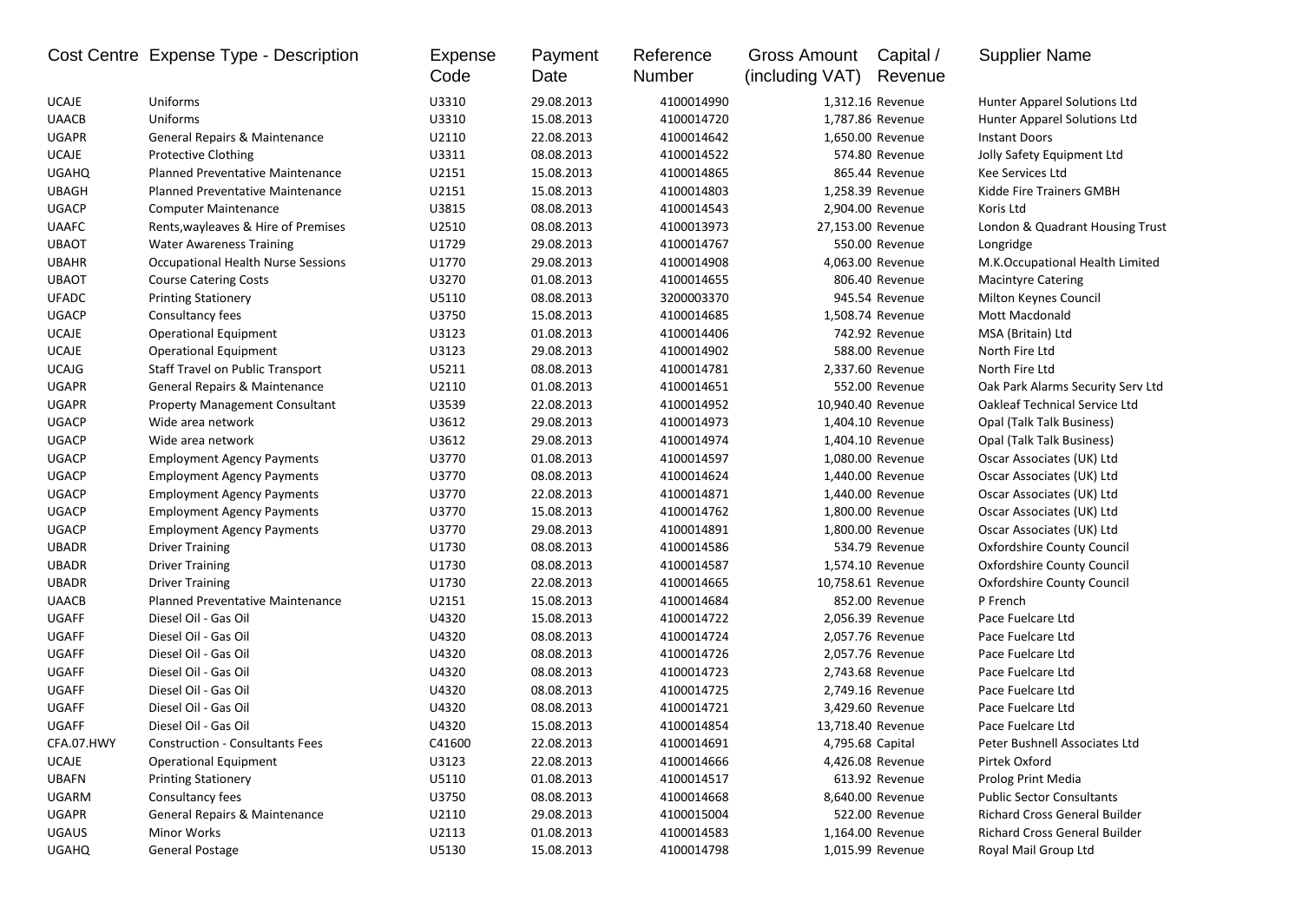|              | Cost Centre Expense Type - Description    | Expense<br>Code | Payment<br>Date | Reference<br>Number | <b>Gross Amount</b><br>(including VAT) | Capital /<br>Revenue | <b>Supplier Name</b>                 |
|--------------|-------------------------------------------|-----------------|-----------------|---------------------|----------------------------------------|----------------------|--------------------------------------|
| <b>UCAJE</b> | Uniforms                                  | U3310           | 29.08.2013      | 4100014990          |                                        | 1,312.16 Revenue     | Hunter Apparel Solutions Ltd         |
| <b>UAACB</b> | Uniforms                                  | U3310           | 15.08.2013      | 4100014720          |                                        | 1,787.86 Revenue     | Hunter Apparel Solutions Ltd         |
| <b>UGAPR</b> | General Repairs & Maintenance             | U2110           | 22.08.2013      | 4100014642          |                                        | 1,650.00 Revenue     | <b>Instant Doors</b>                 |
| UCAJE        | <b>Protective Clothing</b>                | U3311           | 08.08.2013      | 4100014522          |                                        | 574.80 Revenue       | Jolly Safety Equipment Ltd           |
| <b>UGAHQ</b> | Planned Preventative Maintenance          | U2151           | 15.08.2013      | 4100014865          |                                        | 865.44 Revenue       | Kee Services Ltd                     |
| <b>UBAGH</b> | Planned Preventative Maintenance          | U2151           | 15.08.2013      | 4100014803          |                                        | 1,258.39 Revenue     | Kidde Fire Trainers GMBH             |
| <b>UGACP</b> | <b>Computer Maintenance</b>               | U3815           | 08.08.2013      | 4100014543          |                                        | 2,904.00 Revenue     | Koris Ltd                            |
| <b>UAAFC</b> | Rents, wayleaves & Hire of Premises       | U2510           | 08.08.2013      | 4100013973          | 27,153.00 Revenue                      |                      | London & Quadrant Housing Trust      |
| <b>UBAOT</b> | <b>Water Awareness Training</b>           | U1729           | 29.08.2013      | 4100014767          |                                        | 550.00 Revenue       | Longridge                            |
| <b>UBAHR</b> | <b>Occupational Health Nurse Sessions</b> | U1770           | 29.08.2013      | 4100014908          |                                        | 4,063.00 Revenue     | M.K.Occupational Health Limited      |
| <b>UBAOT</b> | <b>Course Catering Costs</b>              | U3270           | 01.08.2013      | 4100014655          |                                        | 806.40 Revenue       | <b>Macintyre Catering</b>            |
| <b>UFADC</b> | <b>Printing Stationery</b>                | U5110           | 08.08.2013      | 3200003370          |                                        | 945.54 Revenue       | Milton Keynes Council                |
| <b>UGACP</b> | Consultancy fees                          | U3750           | 15.08.2013      | 4100014685          |                                        | 1,508.74 Revenue     | Mott Macdonald                       |
| <b>UCAJE</b> | <b>Operational Equipment</b>              | U3123           | 01.08.2013      | 4100014406          |                                        | 742.92 Revenue       | MSA (Britain) Ltd                    |
| <b>UCAJE</b> | <b>Operational Equipment</b>              | U3123           | 29.08.2013      | 4100014902          |                                        | 588.00 Revenue       | North Fire Ltd                       |
| <b>UCAJG</b> | Staff Travel on Public Transport          | U5211           | 08.08.2013      | 4100014781          |                                        | 2,337.60 Revenue     | North Fire Ltd                       |
| <b>UGAPR</b> | General Repairs & Maintenance             | U2110           | 01.08.2013      | 4100014651          |                                        | 552.00 Revenue       | Oak Park Alarms Security Serv Ltd    |
| <b>UGAPR</b> | <b>Property Management Consultant</b>     | U3539           | 22.08.2013      | 4100014952          | 10,940.40 Revenue                      |                      | <b>Oakleaf Technical Service Ltd</b> |
| <b>UGACP</b> | Wide area network                         | U3612           | 29.08.2013      | 4100014973          |                                        | 1,404.10 Revenue     | <b>Opal (Talk Talk Business)</b>     |
| <b>UGACP</b> | Wide area network                         | U3612           | 29.08.2013      | 4100014974          |                                        | 1,404.10 Revenue     | Opal (Talk Talk Business)            |
| <b>UGACP</b> | <b>Employment Agency Payments</b>         | U3770           | 01.08.2013      | 4100014597          |                                        | 1,080.00 Revenue     | Oscar Associates (UK) Ltd            |
| <b>UGACP</b> | <b>Employment Agency Payments</b>         | U3770           | 08.08.2013      | 4100014624          |                                        | 1,440.00 Revenue     | Oscar Associates (UK) Ltd            |
| <b>UGACP</b> | <b>Employment Agency Payments</b>         | U3770           | 22.08.2013      | 4100014871          |                                        | 1,440.00 Revenue     | Oscar Associates (UK) Ltd            |
| <b>UGACP</b> | <b>Employment Agency Payments</b>         | U3770           | 15.08.2013      | 4100014762          |                                        | 1,800.00 Revenue     | Oscar Associates (UK) Ltd            |
| <b>UGACP</b> | <b>Employment Agency Payments</b>         | U3770           | 29.08.2013      | 4100014891          |                                        | 1,800.00 Revenue     | Oscar Associates (UK) Ltd            |
| <b>UBADR</b> | <b>Driver Training</b>                    | U1730           | 08.08.2013      | 4100014586          |                                        | 534.79 Revenue       | Oxfordshire County Council           |
| <b>UBADR</b> | <b>Driver Training</b>                    | U1730           | 08.08.2013      | 4100014587          |                                        | 1,574.10 Revenue     | Oxfordshire County Council           |
| <b>UBADR</b> | <b>Driver Training</b>                    | U1730           | 22.08.2013      | 4100014665          | 10,758.61 Revenue                      |                      | Oxfordshire County Council           |
| <b>UAACB</b> | Planned Preventative Maintenance          | U2151           | 15.08.2013      | 4100014684          |                                        | 852.00 Revenue       | P French                             |
| <b>UGAFF</b> | Diesel Oil - Gas Oil                      | U4320           | 15.08.2013      | 4100014722          |                                        | 2,056.39 Revenue     | Pace Fuelcare Ltd                    |
| UGAFF        | Diesel Oil - Gas Oil                      | U4320           | 08.08.2013      | 4100014724          |                                        | 2,057.76 Revenue     | Pace Fuelcare Ltd                    |
| UGAFF        | Diesel Oil - Gas Oil                      | U4320           | 08.08.2013      | 4100014726          |                                        | 2,057.76 Revenue     | Pace Fuelcare Ltd                    |
| <b>UGAFF</b> | Diesel Oil - Gas Oil                      | U4320           | 08.08.2013      | 4100014723          |                                        | 2,743.68 Revenue     | Pace Fuelcare Ltd                    |
| <b>UGAFF</b> | Diesel Oil - Gas Oil                      | U4320           | 08.08.2013      | 4100014725          |                                        | 2,749.16 Revenue     | Pace Fuelcare Ltd                    |
| UGAFF        | Diesel Oil - Gas Oil                      | U4320           | 08.08.2013      | 4100014721          |                                        | 3,429.60 Revenue     | Pace Fuelcare Ltd                    |
| <b>UGAFF</b> | Diesel Oil - Gas Oil                      | U4320           | 15.08.2013      | 4100014854          | 13,718.40 Revenue                      |                      | Pace Fuelcare Ltd                    |
| CFA.07.HWY   | <b>Construction - Consultants Fees</b>    | C41600          | 22.08.2013      | 4100014691          | 4,795.68 Capital                       |                      | Peter Bushnell Associates Ltd        |
| <b>UCAJE</b> | <b>Operational Equipment</b>              | U3123           | 22.08.2013      | 4100014666          |                                        | 4,426.08 Revenue     | Pirtek Oxford                        |
| <b>UBAFN</b> | <b>Printing Stationery</b>                | U5110           | 01.08.2013      | 4100014517          |                                        | 613.92 Revenue       | Prolog Print Media                   |
| <b>UGARM</b> | Consultancy fees                          | U3750           | 08.08.2013      | 4100014668          |                                        | 8,640.00 Revenue     | <b>Public Sector Consultants</b>     |
| <b>UGAPR</b> | General Repairs & Maintenance             | U2110           | 29.08.2013      | 4100015004          |                                        | 522.00 Revenue       | <b>Richard Cross General Builder</b> |
| <b>UGAUS</b> | Minor Works                               | U2113           | 01.08.2013      | 4100014583          |                                        | 1,164.00 Revenue     | <b>Richard Cross General Builder</b> |
| <b>UGAHQ</b> | <b>General Postage</b>                    | U5130           | 15.08.2013      | 4100014798          |                                        | 1,015.99 Revenue     | Royal Mail Group Ltd                 |